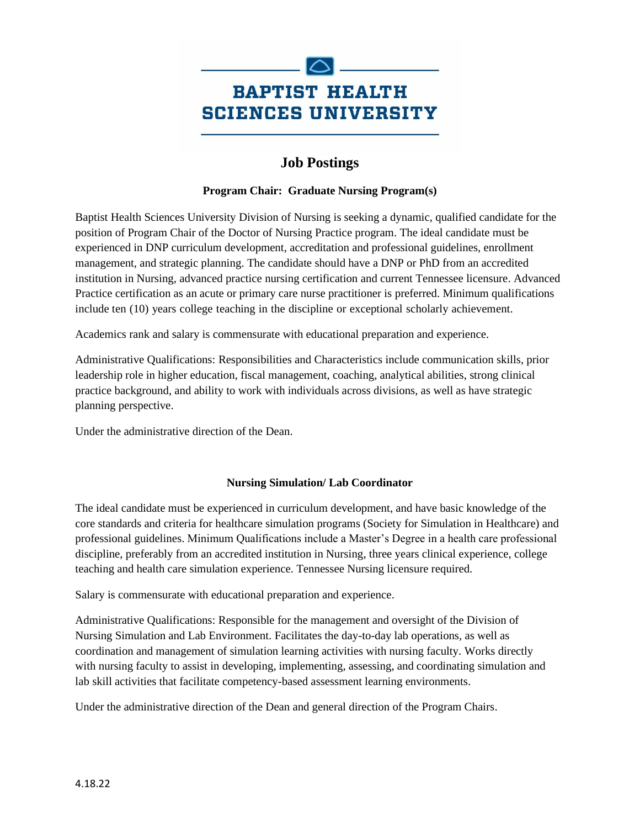

# **Job Postings**

### **Program Chair: Graduate Nursing Program(s)**

Baptist Health Sciences University Division of Nursing is seeking a dynamic, qualified candidate for the position of Program Chair of the Doctor of Nursing Practice program. The ideal candidate must be experienced in DNP curriculum development, accreditation and professional guidelines, enrollment management, and strategic planning. The candidate should have a DNP or PhD from an accredited institution in Nursing, advanced practice nursing certification and current Tennessee licensure. Advanced Practice certification as an acute or primary care nurse practitioner is preferred. Minimum qualifications include ten (10) years college teaching in the discipline or exceptional scholarly achievement.

Academics rank and salary is commensurate with educational preparation and experience.

Administrative Qualifications: Responsibilities and Characteristics include communication skills, prior leadership role in higher education, fiscal management, coaching, analytical abilities, strong clinical practice background, and ability to work with individuals across divisions, as well as have strategic planning perspective.

Under the administrative direction of the Dean.

## **Nursing Simulation/ Lab Coordinator**

The ideal candidate must be experienced in curriculum development, and have basic knowledge of the core standards and criteria for healthcare simulation programs (Society for Simulation in Healthcare) and professional guidelines. Minimum Qualifications include a Master's Degree in a health care professional discipline, preferably from an accredited institution in Nursing, three years clinical experience, college teaching and health care simulation experience. Tennessee Nursing licensure required.

Salary is commensurate with educational preparation and experience.

Administrative Qualifications: Responsible for the management and oversight of the Division of Nursing Simulation and Lab Environment. Facilitates the day-to-day lab operations, as well as coordination and management of simulation learning activities with nursing faculty. Works directly with nursing faculty to assist in developing, implementing, assessing, and coordinating simulation and lab skill activities that facilitate competency-based assessment learning environments.

Under the administrative direction of the Dean and general direction of the Program Chairs.